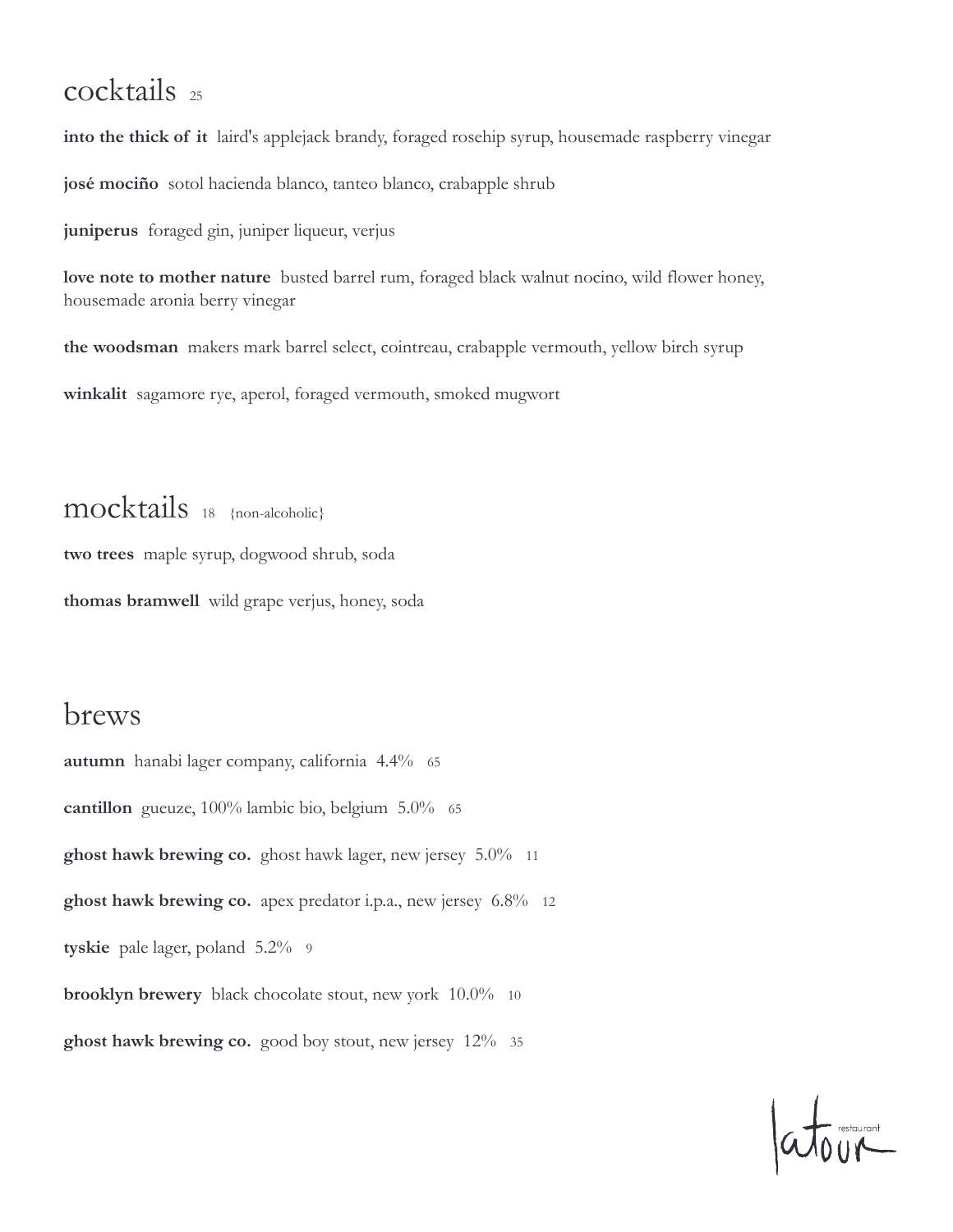### cocktails 25

**into the thick of it** laird's applejack brandy, foraged rosehip syrup, housemade raspberry vinegar **josé mociño** sotol hacienda blanco, tanteo blanco, crabapple shrub

**juniperus** foraged gin, juniper liqueur, verjus

**love note to mother nature** busted barrel rum, foraged black walnut nocino, wild flower honey, housemade aronia berry vinegar

**the woodsman** makers mark barrel select, cointreau, crabapple vermouth, yellow birch syrup

**winkalit** sagamore rye, aperol, foraged vermouth, smoked mugwort

mocktails 18 {non-alcoholic} **two trees** maple syrup, dogwood shrub, soda **thomas bramwell** wild grape verjus, honey, soda

### brews

**autumn** hanabi lager company, california 4.4% 65 cantillon gueuze, 100% lambic bio, belgium 5.0% 65 **ghost hawk brewing co.** ghost hawk lager, new jersey 5.0% 11 **ghost hawk brewing co.** apex predator i.p.a., new jersey 6.8% 12 **tyskie** pale lager, poland 5.2% 9 **brooklyn brewery** black chocolate stout, new york 10.0% 10 **ghost hawk brewing co.** good boy stout, new jersey 12% 35

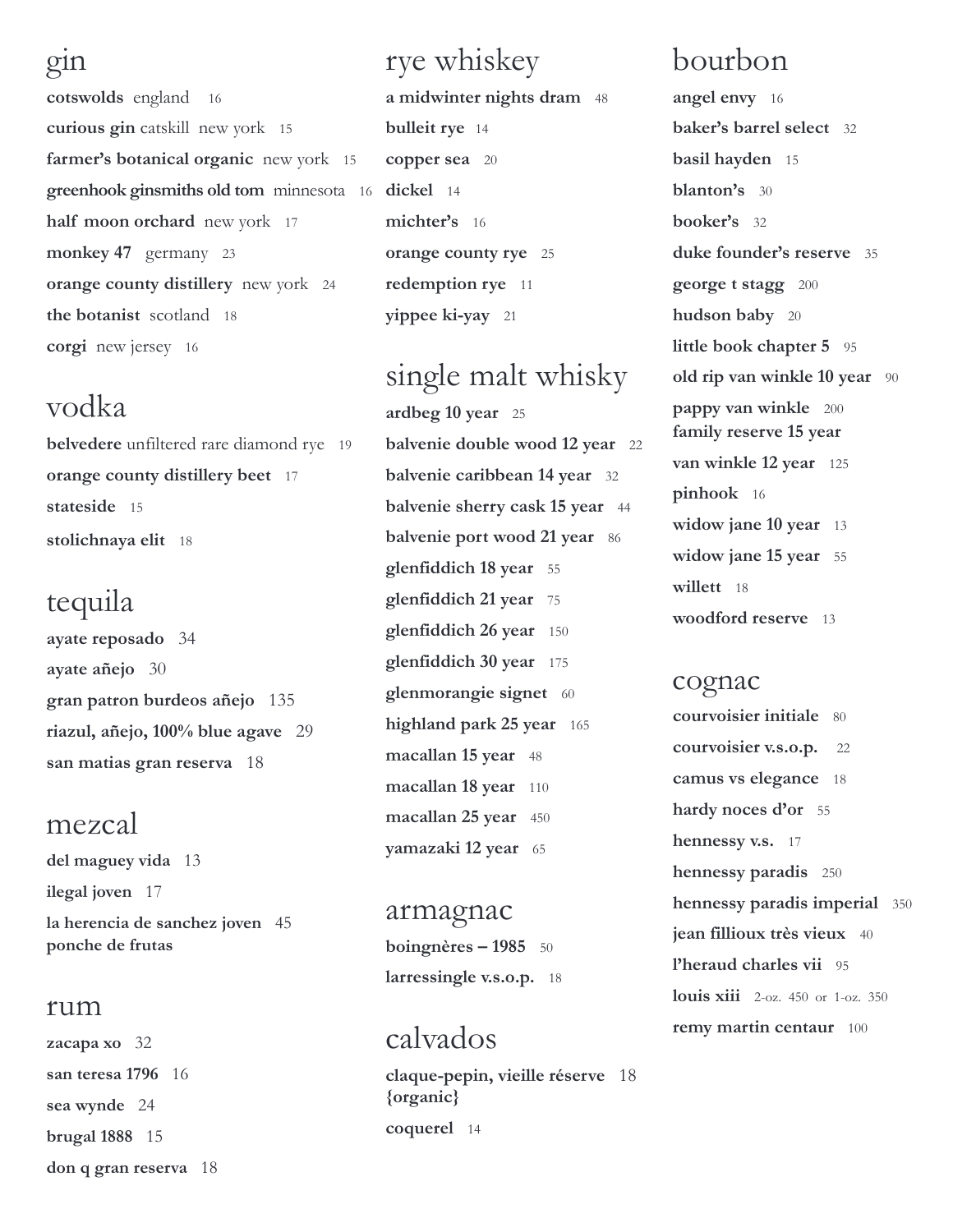#### gin

**cotswolds** england 16 **curious gin** catskill new york 15 **farmer's botanical organic** new york 15 **greenhook ginsmiths old tom** minnesota 16 **dickel** 14 **half moon orchard** new york 17 **monkey 47** germany 23 **orange county distillery** new york 24 **the botanist** scotland 18 **corgi** new jersey 16

### vodka

**belvedere** unfiltered rare diamond rye 19 **orange county distillery beet** 17 **stateside** 15 **stolichnaya elit** 18

## tequila

**ayate reposado** 34 **ayate añejo** 30 **gran patron burdeos añejo** 135 **riazul, añejo, 100% blue agave** 29 **san matias gran reserva** 18

### mezcal

**del maguey vida** 13 **ilegal joven** 17 **la herencia de sanchez joven** 45 **ponche de frutas**

#### rum

**zacapa xo** 32 **san teresa 1796** 16 **sea wynde** 24 **brugal 1888** 15 **don q gran reserva** 18

# rye whiskey

**a midwinter nights dram** 48 **bulleit rye** 14 **copper sea** 20 **michter's** 16 **orange county rye** 25 **redemption rye** 11 **yippee ki-yay** 21

# single malt whisky

**ardbeg 10 year** 25 **balvenie double wood 12 year** 22 **balvenie caribbean 14 year** 32 **balvenie sherry cask 15 year** 44 **balvenie port wood 21 year** 86 **glenfiddich 18 year** 55 **glenfiddich 21 year** 75 **glenfiddich 26 year** 150 **glenfiddich 30 year** 175 **glenmorangie signet** 60 **highland park 25 year** 165 **macallan 15 year** 48 **macallan 18 year** 110 **macallan 25 year** 450 **yamazaki 12 year** 65

armagnac **boingnères – 1985** 50 **larressingle v.s.o.p.** 18

## calvados

**claque-pepin, vieille réserve** 18 **{organic} coquerel** 14

# bourbon

**angel envy** 16 **baker's barrel select** 32 **basil hayden** 15 **blanton's** 30 **booker's** 32 **duke founder's reserve** 35 **george t stagg** 200 **hudson baby** 20 **little book chapter 5** 95 **old rip van winkle 10 year** 90 **pappy van winkle** 200 **family reserve 15 year van winkle 12 year** 125 **pinhook** 16 **widow jane 10 year** 13 **widow jane 15 year** 55 **willett** 18 **woodford reserve** 13

#### cognac

**courvoisier initiale** 80 **courvoisier v.s.o.p.** 22 **camus vs elegance** 18 **hardy noces d'or** 55 **hennessy v.s.** 17 **hennessy paradis** 250 **hennessy paradis imperial** 350 **jean fillioux très vieux** 40 **l'heraud charles vii** 95 **louis xiii** 2-oz. 450 or 1-oz. 350 **remy martin centaur** 100